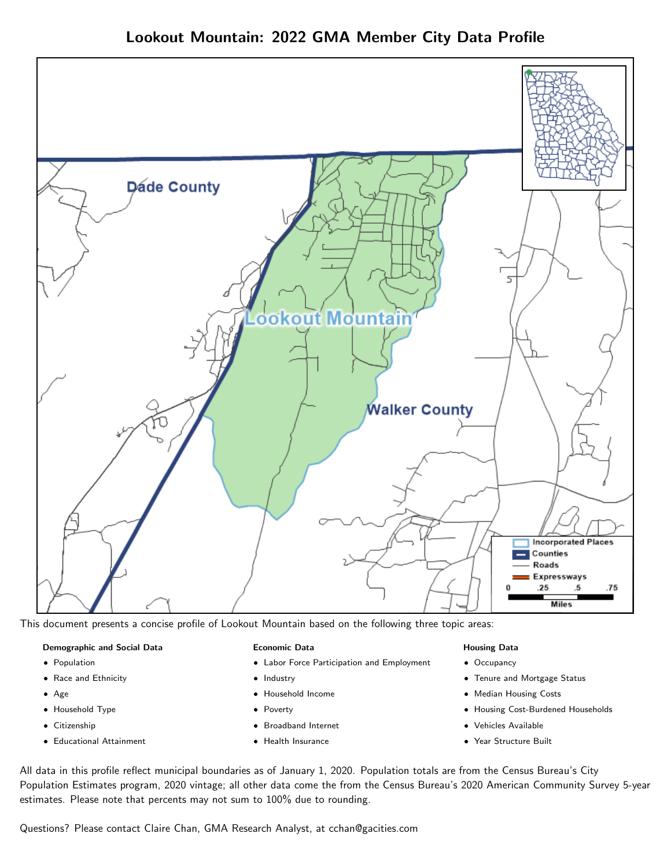

This document presents a concise profile of Lookout Mountain based on the following three topic areas:

#### Demographic and Social Data

- **•** Population
- Race and Ethnicity
- Age
- Household Type
- **Citizenship**
- Educational Attainment

#### Economic Data

- Labor Force Participation and Employment
- Industry
- Household Income
- Poverty
- Broadband Internet
- Health Insurance

#### Housing Data

- Occupancy
- Tenure and Mortgage Status
- Median Housing Costs
- Housing Cost-Burdened Households
- Vehicles Available
- Year Structure Built

All data in this profile reflect municipal boundaries as of January 1, 2020. Population totals are from the Census Bureau's City Population Estimates program, 2020 vintage; all other data come the from the Census Bureau's 2020 American Community Survey 5-year estimates. Please note that percents may not sum to 100% due to rounding.

Questions? Please contact Claire Chan, GMA Research Analyst, at [cchan@gacities.com.](mailto:cchan@gacities.com)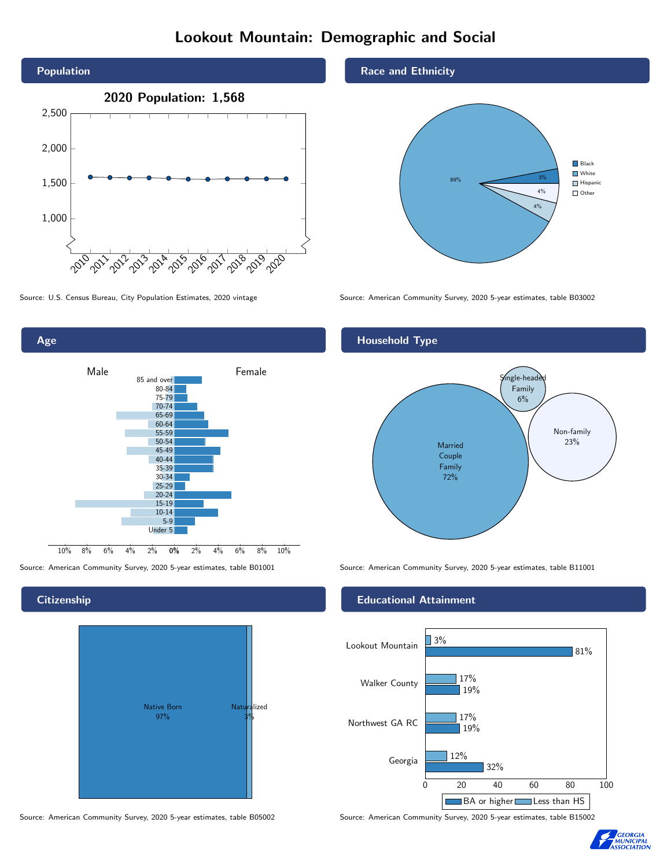# Lookout Mountain: Demographic and Social



0% 2% 4% 6% 8% 10% Male **Female** 10% 8% 6% 4% 2% 85 and over 80-84 75-79 70-74 65-69 60-64 55-59 50-54 45-49 40-44 35-39 30-34 25-29 20-24 15-19  $10-14$ 5-9 Under 5

**Citizenship** 

Age



Source: American Community Survey, 2020 5-year estimates, table B05002 Source: American Community Survey, 2020 5-year estimates, table B15002

Race and Ethnicity



Source: U.S. Census Bureau, City Population Estimates, 2020 vintage Source: American Community Survey, 2020 5-year estimates, table B03002

## Household Type



Source: American Community Survey, 2020 5-year estimates, table B01001 Source: American Community Survey, 2020 5-year estimates, table B11001

### Educational Attainment



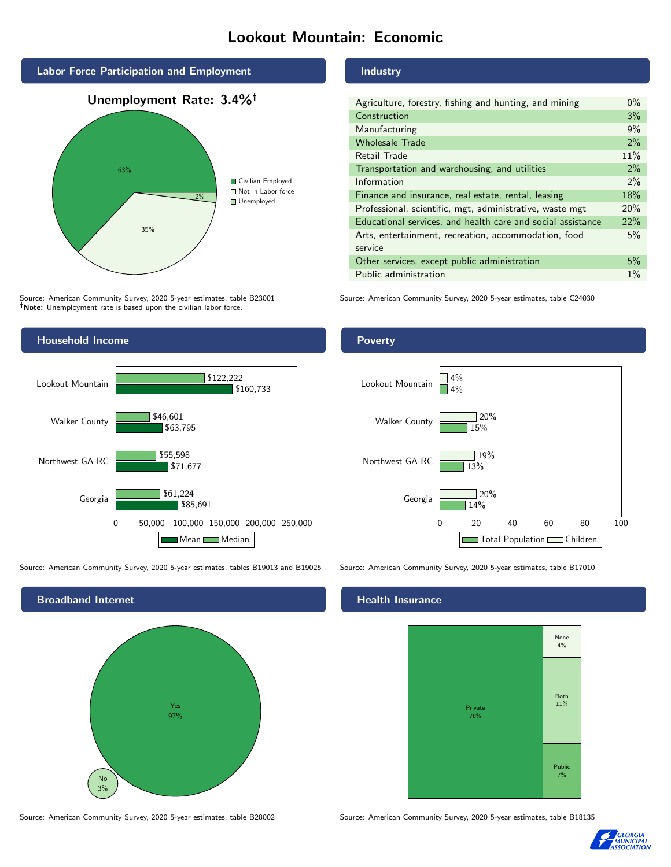# Lookout Mountain: Economic



Source: American Community Survey, 2020 5-year estimates, table B23001 Note: Unemployment rate is based upon the civilian labor force.



Source: American Community Survey, 2020 5-year estimates, tables B19013 and B19025 Source: American Community Survey, 2020 5-year estimates, table B17010



#### Industry

| Agriculture, forestry, fishing and hunting, and mining      | $0\%$ |
|-------------------------------------------------------------|-------|
| Construction                                                | 3%    |
| Manufacturing                                               | 9%    |
| <b>Wholesale Trade</b>                                      | 2%    |
| Retail Trade                                                | 11%   |
| Transportation and warehousing, and utilities               | 2%    |
| Information                                                 | $2\%$ |
| Finance and insurance, real estate, rental, leasing         | 18%   |
| Professional, scientific, mgt, administrative, waste mgt    | 20%   |
| Educational services, and health care and social assistance | 22%   |
| Arts, entertainment, recreation, accommodation, food        | 5%    |
| service                                                     |       |
| Other services, except public administration                | 5%    |
| Public administration                                       | $1\%$ |

Source: American Community Survey, 2020 5-year estimates, table C24030

### Poverty



#### Health Insurance



Source: American Community Survey, 2020 5-year estimates, table B28002 Source: American Community Survey, 2020 5-year estimates, table B18135